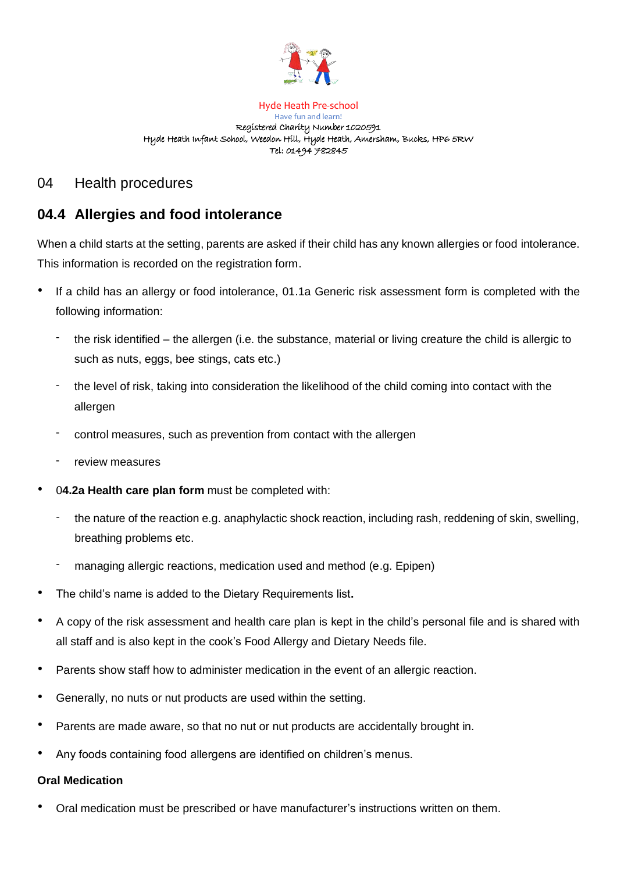

Hyde Heath Pre-school Have fun and learn! Registered Charity Number 1020591 Hyde Heath Infant School, Weedon Hill, Hyde Heath, Amersham, Bucks, HP6 5RW Tel: 01494 782845

## 04 Health procedures

## **04.4 Allergies and food intolerance**

When a child starts at the setting, parents are asked if their child has any known allergies or food intolerance. This information is recorded on the registration form.

- If a child has an allergy or food intolerance, 01.1a Generic risk assessment form is completed with the following information:
	- the risk identified the allergen (i.e. the substance, material or living creature the child is allergic to such as nuts, eggs, bee stings, cats etc.)
	- the level of risk, taking into consideration the likelihood of the child coming into contact with the allergen
	- control measures, such as prevention from contact with the allergen
	- review measures
- 0**4.2a Health care plan form** must be completed with:
	- the nature of the reaction e.g. anaphylactic shock reaction, including rash, reddening of skin, swelling, breathing problems etc.
	- managing allergic reactions, medication used and method (e.g. Epipen)
- The child's name is added to the Dietary Requirements list**.**
- A copy of the risk assessment and health care plan is kept in the child's personal file and is shared with all staff and is also kept in the cook's Food Allergy and Dietary Needs file.
- Parents show staff how to administer medication in the event of an allergic reaction.
- Generally, no nuts or nut products are used within the setting.
- Parents are made aware, so that no nut or nut products are accidentally brought in.
- Any foods containing food allergens are identified on children's menus.

## **Oral Medication**

• Oral medication must be prescribed or have manufacturer's instructions written on them.